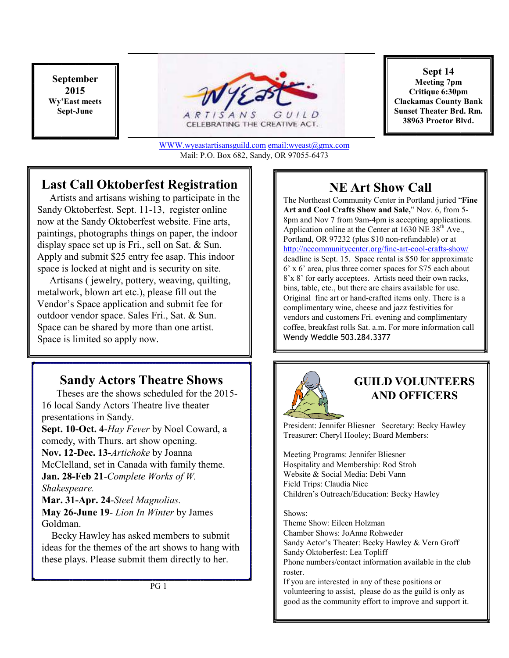**September 2015 Wy'East meets Sept-June** 



CELEBRATING THE CREATIVE ACT.

WWW.wyeastartisansguild.com email:wyeast@gmx.com Mail: P.O. Box 682, Sandy, OR 97055-6473

# **Last Call Oktoberfest Registration**

 Artists and artisans wishing to participate in the Sandy Oktoberfest. Sept. 11-13, register online now at the Sandy Oktoberfest website. Fine arts, paintings, photographs things on paper, the indoor display space set up is Fri., sell on Sat. & Sun. Apply and submit \$25 entry fee asap. This indoor space is locked at night and is security on site.

 Artisans ( jewelry, pottery, weaving, quilting, metalwork, blown art etc.), please fill out the Vendor's Space application and submit fee for outdoor vendor space. Sales Fri., Sat. & Sun. Space can be shared by more than one artist. Space is limited so apply now.

## **Sandy Actors Theatre Shows**

 Theses are the shows scheduled for the 2015- 16 local Sandy Actors Theatre live theater presentations in Sandy.

**Sept. 10-Oct. 4**-*Hay Fever* by Noel Coward, a comedy, with Thurs. art show opening. **Nov. 12-Dec. 13-***Artichoke* by Joanna McClelland, set in Canada with family theme. **Jan. 28-Feb 21**-*Complete Works of W.* 

*Shakespeare.* 

**Mar. 31-Apr. 24**-*Steel Magnolias.* **May 26-June 19**- *Lion In Winter* by James Goldman.

 Becky Hawley has asked members to submit ideas for the themes of the art shows to hang with these plays. Please submit them directly to her.

PG 1

**NE Art Show Call** 

The Northeast Community Center in Portland juried "**Fine Art and Cool Crafts Show and Sale,**" Nov. 6, from 5- 8pm and Nov 7 from 9am-4pm is accepting applications. Application online at the Center at  $1630$  NE  $38<sup>th</sup>$  Ave., Portland, OR 97232 (plus \$10 non-refundable) or at http://necommunitycenter.org/fine-art-cool-crafts-show/ deadline is Sept. 15. Space rental is \$50 for approximate 6' x 6' area, plus three corner spaces for \$75 each about 8'x 8' for early acceptees. Artists need their own racks, bins, table, etc., but there are chairs available for use. Original fine art or hand-crafted items only. There is a complimentary wine, cheese and jazz festivities for vendors and customers Fri. evening and complimentary coffee, breakfast rolls Sat. a.m. For more information call Wendy Weddle 503.284.3377



### **GUILD VOLUNTEERS AND OFFICERS**

President: Jennifer Bliesner Secretary: Becky Hawley Treasurer: Cheryl Hooley; Board Members:

Meeting Programs: Jennifer Bliesner Hospitality and Membership: Rod Stroh Website & Social Media: Debi Vann Field Trips: Claudia Nice Children's Outreach/Education: Becky Hawley

#### Shows:

Theme Show: Eileen Holzman Chamber Shows: JoAnne Rohweder Sandy Actor's Theater: Becky Hawley & Vern Groff Sandy Oktoberfest: Lea Topliff Phone numbers/contact information available in the club roster. If you are interested in any of these positions or

volunteering to assist, please do as the guild is only as good as the community effort to improve and support it.

**Sept 14 Meeting 7pm Critique 6:30pm Clackamas County Bank Sunset Theater Brd. Rm. 38963 Proctor Blvd.**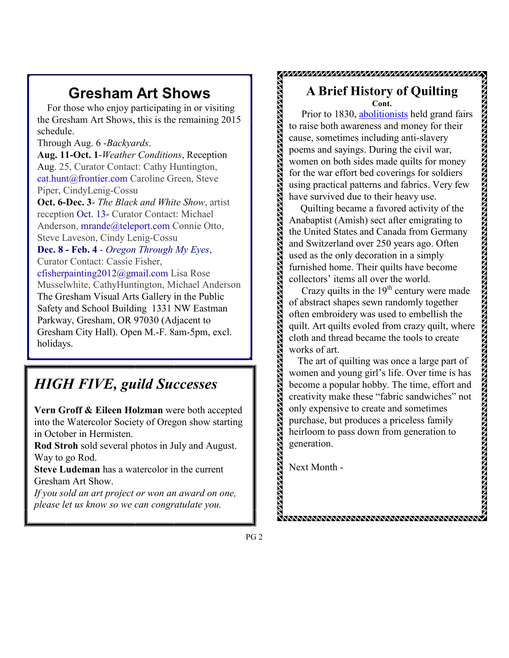# **Gresham Art Shows**

 For those who enjoy participating in or visiting the Gresham Art Shows, this is the remaining 2015 schedule.

Through Aug. 6 -*Backyards*.

**Aug. 11-Oct. 1**-*Weather Conditions*, Reception Aug. 25, Curator Contact: Cathy Huntington, cat.hunt@frontier.com Caroline Green, Steve Piper, CindyLenig-Cossu

**Oct. 6-Dec. 3**- *The Black and White Show*, artist reception Oct. 13- Curator Contact: Michael Anderson, mrande@teleport.com Connie Otto, Steve Laveson, Cindy Lenig-Cossu

**Dec. 8 - Feb. 4** - *Oregon Through My Eyes*, Curator Contact: Cassie Fisher,

cfisherpainting2012@gmail.com Lisa Rose Musselwhite, CathyHuntington, Michael Anderson The Gresham Visual Arts Gallery in the Public Safety and School Building 1331 NW Eastman Parkway, Gresham, OR 97030 (Adjacent to Gresham City Hall). Open M.-F. 8am-5pm, excl. holidays.

# *HIGH FIVE, guild Successes*

**Vern Groff & Eileen Holzman** were both accepted into the Watercolor Society of Oregon show starting in October in Hermisten.

**Rod Stroh** sold several photos in July and August. Way to go Rod.

**Steve Ludeman** has a watercolor in the current Gresham Art Show.

*If you sold an art project or won an award on one, please let us know so we can congratulate you.* 

### **A Brief History of Quilting Cont.**

 Prior to 1830, abolitionists held grand fairs to raise both awareness and money for their cause, sometimes including anti-slavery poems and sayings. During the civil war, women on both sides made quilts for money for the war effort bed coverings for soldiers using practical patterns and fabrics. Very few have survived due to their heavy use.

Quilting became a favored activity of the Anabaptist (Amish) sect after emigrating to the United States and Canada from Germany and Switzerland over 250 years ago. Often used as the only decoration in a simply furnished home. Their quilts have become collectors' items all over the world.

Crazy quilts in the  $19<sup>th</sup>$  century were made of abstract shapes sewn randomly together often embroidery was used to embellish the quilt. Art quilts evoled from crazy quilt, where cloth and thread became the tools to create works of art.

The art of quilting was once a large part of women and young girl's life. Over time is has become a popular hobby. The time, effort and creativity make these "fabric sandwiches" not only expensive to create and sometimes purchase, but produces a priceless family heirloom to pass down from generation to generation.

VVVVVVVVVVVVVVVVVVVVVVVVVVVVVV

Next Month -